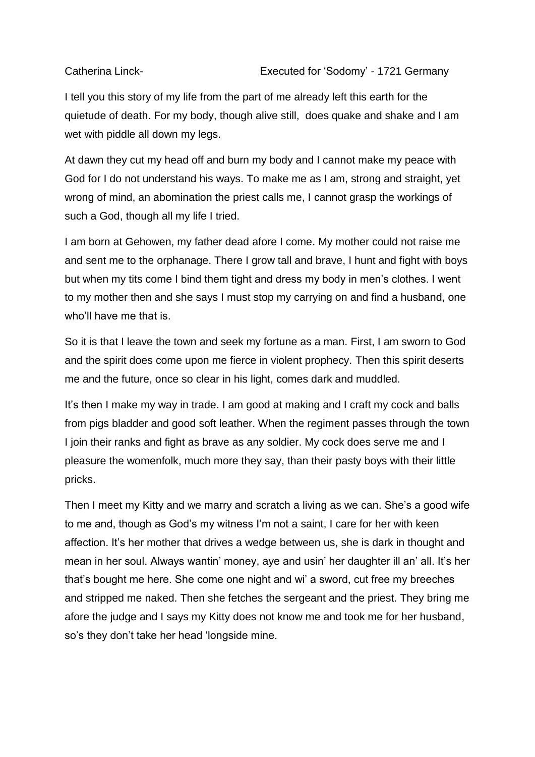I tell you this story of my life from the part of me already left this earth for the quietude of death. For my body, though alive still, does quake and shake and I am wet with piddle all down my legs.

At dawn they cut my head off and burn my body and I cannot make my peace with God for I do not understand his ways. To make me as I am, strong and straight, yet wrong of mind, an abomination the priest calls me, I cannot grasp the workings of such a God, though all my life I tried.

I am born at Gehowen, my father dead afore I come. My mother could not raise me and sent me to the orphanage. There I grow tall and brave, I hunt and fight with boys but when my tits come I bind them tight and dress my body in men's clothes. I went to my mother then and she says I must stop my carrying on and find a husband, one who'll have me that is.

So it is that I leave the town and seek my fortune as a man. First, I am sworn to God and the spirit does come upon me fierce in violent prophecy. Then this spirit deserts me and the future, once so clear in his light, comes dark and muddled.

It's then I make my way in trade. I am good at making and I craft my cock and balls from pigs bladder and good soft leather. When the regiment passes through the town I join their ranks and fight as brave as any soldier. My cock does serve me and I pleasure the womenfolk, much more they say, than their pasty boys with their little pricks.

Then I meet my Kitty and we marry and scratch a living as we can. She's a good wife to me and, though as God's my witness I'm not a saint, I care for her with keen affection. It's her mother that drives a wedge between us, she is dark in thought and mean in her soul. Always wantin' money, aye and usin' her daughter ill an' all. It's her that's bought me here. She come one night and wi' a sword, cut free my breeches and stripped me naked. Then she fetches the sergeant and the priest. They bring me afore the judge and I says my Kitty does not know me and took me for her husband, so's they don't take her head 'longside mine.